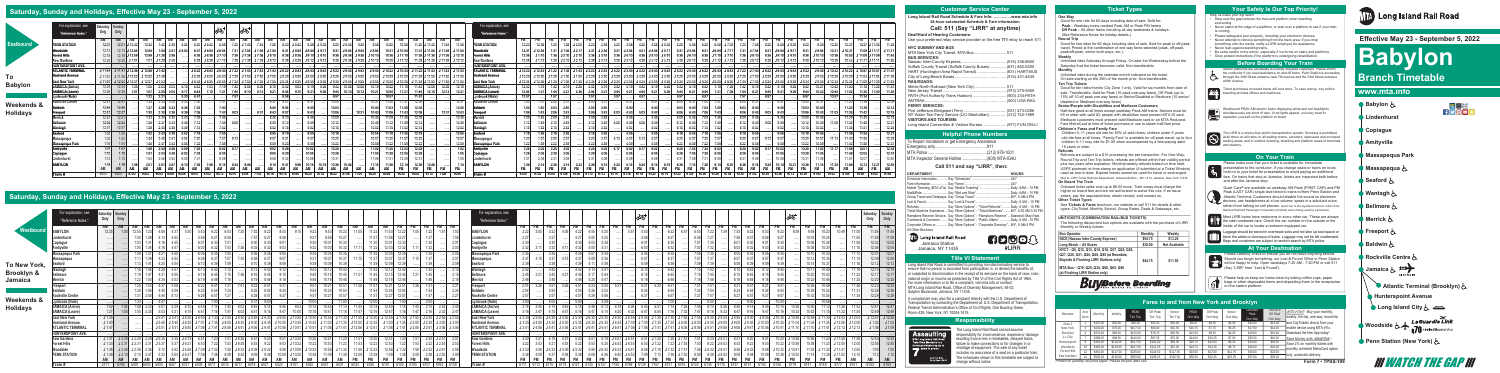#### **One Way**

Good for one ride for 60 days including date of sale. Sold for: **Peak** - Weekday trains marked Peak AM or Peak PM herein.  **Off Peak** – All other trains including all day weekends & holidays. (See Reference Notes for holiday details.)

#### **Round Trip**

Good for two rides for 60 days including date of sale. Sold for peak or off-peak travel. Priced at the combination of one way fares selected (peak, off-peak, peak/off-peak, senior both ways, etc.).

#### **Weekly**

Unlimited rides Saturday through Friday. On sale the Wednesday before the Saturday that the ticket becomes valid. Non-transferable. **Monthly**

Unlimited rides during the calendar month indicated on the ticket. On sale starting on the 25th of the month prior. Non-transferable. **Ten Trip Tickets**

Good for ten rides from/to City Zone 1 only. Valid for six months from date of sale. Transferable. Sold for Peak (10 peak one-way fares), Off Peak (up to 15% off 10 off peak one way fares) or Senior/Disabled or Medicare (10 senior/ disabled or Medicare one-way fares).

#### **Senior/People with Disabilities and Medicare Customers**

Half-fare good at all times except weekday Peak AM trains. Seniors must be 65 or older with valid ID; people with disabilities must present MTA ID card. Medicare customers must present valid Medicare card or an MTA Reduced-Fare MetroCard at time of ticket purchase or use to obtain half-fare price.

#### **Children's Fares and Family Fare**

Children 5–11 years old ride for 50% of adult fares; children under 5 years old ride free at all times. "Family Fare" is available for off-peak travel; up to fou children 5–11 may ride for \$1.00 when accompanied by a fare-paying adult 18 years or older.

#### **Refunds**

Please make sure that your ticket is available for immediate<br>presentation to the conductor. If you change seats or trains en route, presentation to the conductor. If you change seats or trains en route, hold on to your ticket for presentation to avoid paying an additional fare. On trains that stop at Jamaica, tickets are inspected both before and after the Jamaica stop.

Refunds are subject to a \$10 processing fee per transaction. For One-Way, Round-Trip and Ten-Trip tickets, refunds are offered within their validity period plus two years after expiration. Monthly/weekly refunds based on time held. USPS postmark or time-stamp on application (if submitted at a Ticket Window) used as turn-in date. Expired tickets cannot be used for travel or exchanged. Mail to: LIRR Ticket Refunds Department, Jamaica Station – MC 1410, Jamaica, New York 11435

#### **On Board The Train**

Onboard ticket sales cost up to \$6.50 more. Train crews must charge the higher on board fare and are not authorized to waive this rule. If an issue arises, pay the requested fare, obtain receipt, and contact us.

#### **Other Ticket Types**

- Step over the gap between the train and platform when boarding and exiting.
- Never stand at the edge of a platform, or lean over a platform to see if your train is coming.
- Please safeguard your property, including your electronic devices.
- Never attempt to retrieve something from the track area. If you drop something onto the tracks, notify a LIRR employee for assistance.
- Never lean against standing trains.
- Be extra careful in the winter, especially if ice forms on stairs and platforms. • Obey posted instructions if the platform is undergoing rehabilitation.

See **Tickets & Fares** brochure, our website or call 511 for details & other types: CityTicket, Monthly School, Group Rates, Deals & Getaways, etc. **\_\_\_\_\_\_\_\_\_\_\_\_\_\_\_\_\_\_\_\_\_\_\_\_\_\_\_\_\_\_\_\_\_\_\_\_\_\_\_\_\_\_\_\_\_\_\_\_\_\_\_\_\_\_\_\_\_\_\_\_\_\_\_**

#### **UNITICKETS (COMBINATION RAIL/BUS TICKETS)**

The following discounted bus options are available with the purchase of LIRR Monthly or Weekly tickets:

| <b>Bus Operator</b>                                                                                                                   | <b>Monthly</b> | Weekly               |
|---------------------------------------------------------------------------------------------------------------------------------------|----------------|----------------------|
| NICE (Nassau Inter-County Express)                                                                                                    | \$54.75        | \$13.25              |
| Long Beach - All Buses                                                                                                                | \$30.00        | <b>Not Available</b> |
| NYCT - Q5, Q12, Q13, Q15, Q16, Q17, Q20, Q26,<br>Q27, Q28, Q31, Q44, Q48, Q85 (at Rosedale,<br>Bayside & Flushing LIRR Stations only) | \$44.75        | \$11.50              |
| MTA Bus - Q19, Q25, Q34, Q50, Q65, Q66<br>(at Flushing LIRR Station only)                                                             |                |                      |

# **Buy Before Boarding**

Please carefully check to ensure you do not leave anything behind. Should you forget something, our Lost & Found Office in Penn Station will be happy to help. Open weekdays 7:20 AM - 7:20 PM or call 511<br>Will be happy to help. Open weekdays 7:20 AM - 7:20 PM or call 511 (Say "LIRR" then "Lost & Found").



Quiet Cars® are available on weekday AM Peak (FIRST CAR) and PM Peak (LAST CAR) single-level electric trains to/from Penn Station and Atlantic Terminal. Customers should disable the sound on electronic devices; use headphones at a low volume; speak in a subdued voice; refrain from talking on cell phones. *Quiet Car is the registered service mark of the National Railroad Passenger Corporation (Amtrak) and is being used by permission.*

**ATA** Most LIRR trains have restrooms in every other car. These are always the odd-numbered cars. Check the car number on the outside or the<br>inside of the car to locate a restroom-equipped car.

Luggage should be stored in overhead racks and not take up seat space or block the aisles or doorways of trains. Luggage may not be left unattended. Bags and containers are subject to random search by MTA police.

Help us make your trip safer!

Station platforms are accessible to mobility-impaired customers. Please inform the conductor if you need assistance on and off trains. Penn Station is accessible through the 34th Street entrance near 7th Avenue and the 33rd Street entrance at 8th Avenue.

Ticket purchases on board trains will cost more. To save money, buy before boarding at ticket offices and machines.

Westbound PEAK AM electric trains displaying white and red headlights  $\blacksquare$  $\blacksquare$  $\blacksquare$  is increased to  $\blacksquare$  and  $\blacksquare$  and  $\blacksquare$  is imultaneously are short of cars. If red lights appear, you may need to reposition yourself on the platform to board

The LIRR is a smoke-free public transportation system. Smoking is prohibited<br>at all times on all trains; in all waiting rooms, elevators, staircases and enclosed<br>waiting areas; and in outdoor ticketing, boarding and platfo nd stations

**MTA** Long Island Rail Road Jamaica Station Jamaica, NY 11435





Long Island Rail Road is committed to providing non-discriminatory service to ensure that no person is excluded from participation in, or denied the benefits of, or subjected to discrimination in the receipt of its services on the basis of race, color, national origin or income as protected by Title VI of the Civil Rights Act of 1964. For more information or to file a complaint, visit mta.info or contact: MTA Long Island Rail Road, Office of Diversity Management, 93-02 Sutphin Boulevard, Jamaica, NY 11435.

A complainant may also file a complaint directly with the U.S. Department of Transportation by contacting the Department at: U.S. Department of Transportation, Federal Transit Administration's Office of Civil Rights, One Bowling Green, Room 429, New York, NY 10004-1415.

## **Long Island Rail Road Schedule & Fare Info: ...............www.mta.info 24-hour automated Schedule & Fare information**

**Call: 511 (Say "LIRR" at anytime)**

#### **Deaf/Hard of Hearing Customers:**

Use your preferred relay service provider or the free **711** relay to reach 511

#### **NYC SUBWAY AND BUS**

| NTU SUDWAT ANU DUS                                           |  |
|--------------------------------------------------------------|--|
|                                                              |  |
| <b>BUS SERVICES:</b>                                         |  |
|                                                              |  |
| Suffolk County Transit (Suffolk County Buses) (631) 852-5200 |  |
| HART (Huntington Area Rapid Transit)  (631) HART-BUS         |  |
|                                                              |  |
| <b>RAILROADS:</b>                                            |  |
| Metro-North Railroad (New York City)511                      |  |
|                                                              |  |
| PATH (Port Authority Trans Hudson)  (800) 234-PATH           |  |
|                                                              |  |
| <b>FERRY SERVICES:</b>                                       |  |
|                                                              |  |
| NY Water Taxi Ferry Service (LIC-Manhattan)  (212) 742-1969  |  |
| <b>VISITORS AND TOURISM:</b>                                 |  |
| Long Island Convention & Visitors Bureau (877) FUN-ON-LI     |  |
|                                                              |  |

| To Report Vandalism or get Emergency Assistance |  |
|-------------------------------------------------|--|
|                                                 |  |
|                                                 |  |
|                                                 |  |

#### **Call 511 and say "LIRR", then:**

| <b>DEPARTMENT</b>                                                                       | <b>HOURS</b> |
|-----------------------------------------------------------------------------------------|--------------|
|                                                                                         |              |
|                                                                                         |              |
|                                                                                         |              |
|                                                                                         |              |
|                                                                                         |              |
|                                                                                         |              |
| Refunds  Say "More Options" - "Ticket Refunds"  Daily, 6 AM - 10 PM                     |              |
| Ticket Machine Assistance  Say "More Options" - "Ticket Machines"  M-F, 6:30 AM-3:30 PM |              |
| Hamptons Reserve Service Say "More Options" - "Hamptons Reserve"  Seasonal: May-Sept.   |              |
| Comments & Concerns  Say "More Options" - "Public Affairs"  Daily, 6 AM - 10 PM         |              |
| Corporate Offices or  Say "More Options" - "Corporate Directory" M-F, 9 AM-5 PM         |              |
| All Other Business                                                                      |              |
|                                                                                         |              |

The Long Island Rail Road cannot assume responsibility for inconvenience, expense or damage resulting from errors in timetables, delayed trains, failure to make connections or for changes in or shortage of equipment. The sale of any ticket includes no assurance of a seat on a particular train. The schedules shown in this timetable are subject to change without notice.

 **Effective May 23 - September 5, 2022**

# **Babylon Branch Timetable**

# **www.mta.info**



WATCH THE GAP









## **Saturday, Sunday and Holidays, Effective May 23 - September 5, 2022**

#### **Helpful Phone Numbers**

### **Title VI Statement**

### **Responsibility**

| <u>Assaulting</u><br><b>MTA Long Island Rail Road</b><br>Train Crew Members is a |
|----------------------------------------------------------------------------------|
| felony punishable by up to                                                       |
| years in prison.                                                                 |
| New York State                                                                   |
| Penal Code 120.05                                                                |

#### **Your Safety Is Our Top Priority!**

#### **At Your Destination**



## **Before Boarding Your Train**



#### **On Your Train**



## **Saturday, Sunday and Holidays, Effective May 23 - September 5, 2022**

|                       | "Reference Notes."           | Saturday<br>Only | Only                       |      |      |               |                   |       |  |  |                                                                                                                                   |       |         |      |                                                                                            |           |         |  |                                                                                     |       |                     | For explanation, see<br>"Reference Notes." |           |      |                                                                                                                                                                         |                  |           |      |                        | ∣௸    |       |      |       |      |                 |                                                                                                                                                                     |                 |       |      | த்⁄ீ |                                   |                                                                            |       | Saturday<br>Only | Sunday<br>Only      |
|-----------------------|------------------------------|------------------|----------------------------|------|------|---------------|-------------------|-------|--|--|-----------------------------------------------------------------------------------------------------------------------------------|-------|---------|------|--------------------------------------------------------------------------------------------|-----------|---------|--|-------------------------------------------------------------------------------------|-------|---------------------|--------------------------------------------|-----------|------|-------------------------------------------------------------------------------------------------------------------------------------------------------------------------|------------------|-----------|------|------------------------|-------|-------|------|-------|------|-----------------|---------------------------------------------------------------------------------------------------------------------------------------------------------------------|-----------------|-------|------|------|-----------------------------------|----------------------------------------------------------------------------|-------|------------------|---------------------|
|                       |                              | AM               | AM                         |      |      |               |                   |       |  |  |                                                                                                                                   |       |         |      |                                                                                            |           |         |  |                                                                                     |       | PM                  |                                            | <b>PM</b> | PM   |                                                                                                                                                                         | PM               | <b>PM</b> |      |                        |       |       |      |       |      |                 |                                                                                                                                                                     |                 |       |      |      |                                   |                                                                            |       |                  |                     |
| Westbound             | <b>BABYLON</b>               | 12:25            |                            |      | 1:23 | 4:08          | 4:37              |       |  |  |                                                                                                                                   |       |         |      |                                                                                            |           |         |  |                                                                                     |       |                     | <b>BABYLON</b>                             | 2:22      | 3:22 |                                                                                                                                                                         | 4:22             |           | 5:20 |                        | 5:51  |       | 6:22 |       |      |                 |                                                                                                                                                                     |                 |       |      |      |                                   |                                                                            |       |                  |                     |
|                       | Lindenhurst                  |                  |                            | 1:00 |      |               |                   |       |  |  |                                                                                                                                   |       |         |      |                                                                                            |           |         |  |                                                                                     |       |                     | Lindenhurst                                | 2:27      | 3:27 |                                                                                                                                                                         | 4:27             |           |      |                        |       |       |      |       |      |                 |                                                                                                                                                                     |                 |       |      |      |                                   |                                                                            |       |                  |                     |
|                       | Copiague                     |                  |                            |      |      |               |                   |       |  |  |                                                                                                                                   |       |         |      |                                                                                            |           |         |  |                                                                                     |       |                     | Copiaque                                   |           |      |                                                                                                                                                                         |                  |           |      |                        |       |       |      |       |      |                 |                                                                                                                                                                     |                 |       |      |      |                                   |                                                                            |       |                  |                     |
|                       | Amityville                   |                  |                            |      |      |               |                   |       |  |  |                                                                                                                                   |       |         |      |                                                                                            |           |         |  |                                                                                     |       |                     | <b>Amitvville</b>                          |           |      |                                                                                                                                                                         |                  |           |      |                        |       |       |      |       |      |                 |                                                                                                                                                                     |                 |       |      |      |                                   |                                                                            |       |                  | 12:04               |
|                       | Massapegua Park              |                  |                            | 1:08 |      | 4:21          |                   |       |  |  | 8:35                                                                                                                              |       |         |      |                                                                                            |           |         |  |                                                                                     |       |                     | Massapegua Park                            |           |      |                                                                                                                                                                         | 4:35             |           |      |                        |       |       |      |       |      |                 |                                                                                                                                                                     |                 |       |      |      |                                   |                                                                            | 11:12 |                  |                     |
|                       |                              |                  |                            |      |      | 4:23          |                   |       |  |  |                                                                                                                                   |       |         |      |                                                                                            |           |         |  |                                                                                     |       | 0.07                |                                            | 2:37      |      |                                                                                                                                                                         |                  |           |      |                        |       |       |      |       |      |                 |                                                                                                                                                                     |                 |       |      |      |                                   |                                                                            | 11.11 |                  |                     |
|                       | <b>Massapequa</b><br>Seaford |                  |                            |      |      | 4.25          |                   |       |  |  |                                                                                                                                   |       |         |      |                                                                                            |           |         |  |                                                                                     |       |                     | Massapegua<br>Seaford                      |           |      |                                                                                                                                                                         |                  |           |      |                        |       |       |      |       |      |                 |                                                                                                                                                                     |                 |       |      |      | 10.14                             |                                                                            | 44.40 |                  |                     |
| To New York,          |                              |                  |                            |      | 1:44 |               |                   |       |  |  |                                                                                                                                   |       |         | 9.42 |                                                                                            |           |         |  |                                                                                     |       | 0.10                |                                            |           |      |                                                                                                                                                                         | 4:42             |           | 5:41 |                        |       | 6:12  | 6:42 |       | 7.12 |                 |                                                                                                                                                                     |                 |       | 9.42 |      | 10.17                             |                                                                            | 11.19 |                  | 12:14               |
| <b>Brooklyn &amp;</b> | Wantagh                      |                  |                            |      |      | 4:28          |                   |       |  |  |                                                                                                                                   |       |         |      |                                                                                            |           |         |  |                                                                                     |       |                     | Wantagh                                    |           | 3:42 |                                                                                                                                                                         |                  |           |      |                        |       |       |      |       |      |                 |                                                                                                                                                                     |                 |       |      |      |                                   |                                                                            |       |                  |                     |
|                       | Bellmore                     |                  |                            |      |      | 4:31          |                   |       |  |  |                                                                                                                                   |       |         |      |                                                                                            |           |         |  |                                                                                     |       |                     | <b>Bellmore</b>                            | 2:45      |      |                                                                                                                                                                         |                  |           |      |                        |       |       |      |       |      |                 |                                                                                                                                                                     |                 |       |      |      | 10:20<br>10.23                    |                                                                            | 11.25 |                  |                     |
| Jamaica               | <b>Merrick</b>               |                  |                            |      |      |               |                   |       |  |  |                                                                                                                                   |       |         |      |                                                                                            |           |         |  |                                                                                     |       |                     | Merrick                                    |           |      |                                                                                                                                                                         |                  |           |      |                        |       |       |      |       |      |                 |                                                                                                                                                                     |                 |       |      |      |                                   |                                                                            |       |                  | 12:20               |
|                       | Freeport                     |                  |                            |      | 1:53 | 4:37          |                   |       |  |  |                                                                                                                                   |       |         | 9:51 |                                                                                            | 11:26     | 11:51   |  |                                                                                     |       | 2.21<br>0.01        | Freeport                                   |           | 3:51 |                                                                                                                                                                         | 4:51             |           | 5:50 | 5:57                   |       | 6:21  | 6:51 |       | 1.21 |                 |                                                                                                                                                                     | 8:21            | Y.Z I |      |      | 10:26                             |                                                                            | 11:28 | 12:23            | 12:23               |
|                       | <b>Baldwin</b>               |                  |                            |      |      | 4:40          |                   |       |  |  |                                                                                                                                   |       |         |      |                                                                                            |           |         |  |                                                                                     |       | <b>2.24</b><br>0.07 | <b>Baldwin</b>                             |           |      |                                                                                                                                                                         |                  |           |      |                        |       |       | 6:54 |       |      |                 |                                                                                                                                                                     |                 |       |      |      | 10:29                             |                                                                            | 11:31 | 12:26            | 12:26               |
|                       | Rockville Centre             |                  |                            |      |      | 4:44          |                   |       |  |  |                                                                                                                                   |       |         |      |                                                                                            |           |         |  |                                                                                     |       |                     | <b>Rockville Centre</b>                    |           |      |                                                                                                                                                                         |                  |           |      |                        |       |       |      |       |      |                 |                                                                                                                                                                     |                 |       |      |      |                                   |                                                                            | 11.31 |                  | 12:29               |
| Weekends &            | Lynbrook (Note)              |                  |                            |      |      | 4.47          |                   |       |  |  |                                                                                                                                   |       |         |      |                                                                                            |           | 10.00   |  |                                                                                     |       |                     | Lynbrook (Note)                            | 3.00      | 4.00 |                                                                                                                                                                         | $F \cdot \cup V$ |           | 5.50 |                        |       |       |      |       |      |                 |                                                                                                                                                                     | 0.00            |       |      |      |                                   |                                                                            |       |                  |                     |
| <b>Holidays</b>       | <b>JAMAICA (Arrive)</b>      |                  |                            |      |      | 5:01          |                   |       |  |  |                                                                                                                                   |       |         |      |                                                                                            |           |         |  |                                                                                     | 0.01  |                     | <b>JAMAICA (Arrive)</b>                    |           |      |                                                                                                                                                                         | 5.14             |           |      |                        |       |       |      |       |      |                 |                                                                                                                                                                     |                 |       |      |      |                                   |                                                                            |       |                  |                     |
|                       | <b>JAMAICA (Leave)</b>       | 1.27             |                            |      |      | 5.03          |                   |       |  |  |                                                                                                                                   |       |         |      |                                                                                            |           |         |  |                                                                                     |       |                     | <b>JAMAICA (Leave)</b>                     |           |      |                                                                                                                                                                         |                  |           |      | 6.20                   |       |       |      |       |      |                 |                                                                                                                                                                     |                 |       |      |      |                                   |                                                                            |       |                  |                     |
|                       | <b>East New York</b>         | J 1:35           |                            |      |      |               |                   |       |  |  | $J5.41$ $J5.41$ $J6.30$ $J6.55$ $J7.30$ $J7.55$ $J8.30$ $J8.55$ $J9.30$                                                           | J9:55 |         |      | J 10:30 J 10:30 J 10:55 J 11:30 J 11:55 J 12:30 J 12:55 J 1:30 J 1:55 J 2:30 J 2:55 J 2:55 |           |         |  |                                                                                     |       |                     | <b>East New York</b>                       |           |      | J 3:30 J 3:55 J 4:30 J 4:55 J 5:30 J 6:30 J 6:30 J 6:30 J 6:30 J 6:55 J 5:55 J 7:30 J 7:30 J 7:55 J 7:55 J                                                              |                  |           |      |                        |       |       |      |       |      | $J8:30$ $J8:55$ |                                                                                                                                                                     | $J8:55$ $J9:30$ |       |      |      | $J$ 10:30 $J$ 10:59 $J$ 10:59 $J$ |                                                                            |       |                  | $J 12:57$ $J 12:56$ |
|                       | Nostrand Avenue.             | J 1:40           |                            |      |      |               |                   |       |  |  | J 5:45 J 5:45 J 6:35 J 7:01 J 7:35 J 8:00 J 8:35 J 9:00 J 9:35 J 10:00 J 10:35 J 10:35 J 11:00 J 11:35 J 12:00                    |       |         |      |                                                                                            |           | J 12:35 |  | <b>J</b> 1:00 <b>J</b> 1:35 <b>J</b> 2:00 <b>J</b> 2:35 <b>J</b> 3:00 <b>J</b> 3:00 |       |                     | Nostrand Avenue.                           |           |      | <b>J</b> 3:35 <b>J</b> 4:00 <b>J</b> 4:35 <b>J</b> 5:00 <b>J</b> 5:35 <b>J</b> 6:35 <b>J</b> 6:35 <b>J</b> 6:35 <b>J</b> 7:00 <b>J</b> 7:00 <b>J</b> 7:35 <b>J</b> 7:35 |                  |           |      |                        |       |       |      |       |      |                 | J8:00 J8:00 J8:35 J9:00 J9:00 J9:35 J10:00                                                                                                                          |                 |       |      |      |                                   | <b>J</b> 10:35 <b>J</b> 11:04 <b>J</b> 11:04 <b>J</b> 11:35 <b>J</b> 12:08 |       |                  | $J 1:02$ $J 1:02$   |
|                       | <b>ATLANTIC TERMINAL</b>     | J1.47            |                            |      |      |               | $J 5:51$ $J 5:51$ |       |  |  | J 12:06 J 11:41 J 12:06 J 12:41   J 3:06 J 9:41   J 3:06 J 9:41   J 10:06   J 10:41   J 10:41   J 11:06 J 11:41   J 12:06 J 12:41 |       |         |      |                                                                                            |           |         |  | J 1:06 J 1:41 J 2:06 J 2:41 J 3:06 J 3:06                                           |       |                     | <b>ATLANTIC TERMINAI</b>                   |           |      |                                                                                                                                                                         |                  |           |      |                        |       |       |      |       |      |                 | J3:41 J4:06 J4:41 J5:06 J5:41 J6:41 J6:41 J6:41 J7:06 J7:06 J7:06 J7:41 J7:06 J8:06 J8:41 J9:06 J9:06 J9:41 J10:06 J10:41 J10:06 J11:10 J11:10 J11:10 J11:41 J12:13 |                 |       |      |      |                                   |                                                                            |       |                  | $J1.08$ $J1.09$     |
|                       | HUNTERSPOINT AVE.            |                  |                            |      |      |               |                   |       |  |  |                                                                                                                                   |       |         |      |                                                                                            |           |         |  |                                                                                     |       |                     | HUNTERSPOINT AVE.                          |           |      |                                                                                                                                                                         |                  |           |      |                        |       |       |      |       |      |                 |                                                                                                                                                                     |                 |       |      |      |                                   |                                                                            |       |                  |                     |
|                       | <b>Kew Gardens</b>           |                  | $J 1:31$ $J 2:29$ $J 2:29$ |      |      | $2:29$ J 5:35 | 5:35              | J6:19 |  |  |                                                                                                                                   |       | J 10:20 |      |                                                                                            |           |         |  |                                                                                     | J2:51 |                     | <b>Kew Gardens</b>                         |           |      |                                                                                                                                                                         | 5:20             | 5:51      |      | 6:18 $J 6:51$ $J 6:51$ |       | J7:20 |      | J7:51 |      |                 |                                                                                                                                                                     |                 |       |      |      |                                   |                                                                            |       |                  |                     |
|                       | <b>Forest Hills</b>          |                  | $J 1:33$ $J 2:31$ $J 2:31$ |      |      | J 5:37        |                   |       |  |  |                                                                                                                                   |       |         |      |                                                                                            |           |         |  |                                                                                     |       |                     | <b>Forest Hills</b>                        | 3:22      |      |                                                                                                                                                                         |                  | 5:53      |      |                        | J6:53 | 6:53  |      |       |      |                 |                                                                                                                                                                     |                 |       |      |      |                                   |                                                                            |       |                  | 12:55               |
|                       | Woodside                     | J1:38            |                            |      |      |               |                   |       |  |  |                                                                                                                                   |       |         |      |                                                                                            | $11 - 58$ |         |  |                                                                                     |       |                     | Woodside                                   | J3:32     |      |                                                                                                                                                                         |                  |           |      |                        |       |       |      |       |      |                 |                                                                                                                                                                     |                 |       |      |      |                                   |                                                                            |       |                  |                     |
|                       | <b>PENN STATION</b>          | J1:49            |                            |      |      |               |                   |       |  |  |                                                                                                                                   |       |         |      |                                                                                            |           |         |  |                                                                                     |       |                     | <b>PENN STATION</b>                        | 3.38      |      |                                                                                                                                                                         |                  |           |      |                        |       |       |      |       |      |                 |                                                                                                                                                                     |                 |       |      |      |                                   |                                                                            |       |                  |                     |
|                       |                              |                  | ΔM <sub></sub>             |      |      |               |                   |       |  |  |                                                                                                                                   |       |         |      |                                                                                            |           |         |  |                                                                                     | PM    | PM                  |                                            |           |      |                                                                                                                                                                         |                  |           |      |                        |       |       |      |       |      |                 |                                                                                                                                                                     |                 |       |      |      |                                   |                                                                            |       |                  |                     |
|                       | Train #                      |                  |                            |      |      |               |                   |       |  |  |                                                                                                                                   |       |         |      |                                                                                            |           |         |  |                                                                                     |       |                     | Train #                                    |           |      |                                                                                                                                                                         |                  |           |      |                        |       |       |      |       |      |                 |                                                                                                                                                                     |                 |       |      |      |                                   |                                                                            |       |                  |                     |
|                       |                              |                  |                            |      |      |               |                   |       |  |  |                                                                                                                                   |       |         |      |                                                                                            |           |         |  |                                                                                     |       |                     |                                            |           |      |                                                                                                                                                                         |                  |           |      |                        |       |       |      |       |      |                 |                                                                                                                                                                     |                 |       |      |      |                                   |                                                                            |       |                  |                     |

## **Customer Service Center Ticket Types**

|                   |             |          |          |                  | <b>Fares to and from New York and Brooklyn</b> |                    |                 |                     |                   |                            |                                |                                                                                                 |
|-------------------|-------------|----------|----------|------------------|------------------------------------------------|--------------------|-----------------|---------------------|-------------------|----------------------------|--------------------------------|-------------------------------------------------------------------------------------------------|
| Between           | And<br>Zone | Monthly  | Weekly   | PFAK<br>Ten Trip | Off-Peak<br>Ten Trip                           | Senior<br>Ten Trip | PFAK<br>One Wav | Off Peak<br>One Way | Senior<br>One Way | Onboard<br>Peak<br>One Wav | Onboard<br>Off Peak<br>One Way | $MTA$ $e/T$ <i>ix</i> <sup>®</sup> - Buy your monthly,<br>weekly, ten-trip, one-way, round trip |
| Zone <sup>-</sup> |             | \$197    | \$63.00  | \$90.00          | \$55.25                                        | \$45.00            | \$9.00          | \$6.50              | \$4.50            | \$15.00                    | \$13.00                        | and CityTickets direcly from your                                                               |
| New York          |             | \$234.00 | \$75.00  | \$107.50         | \$66.00                                        | \$52.50            | \$10.75         | \$7.75              | \$5.25            | \$17.00                    | \$14.00                        | mobile device using MTA eTix.                                                                   |
| Brooklyn          |             | \$270.00 | \$86.50  | \$125.00         | \$78.75                                        | \$62.50            | \$12.50         | \$9.25              | \$6.25            | \$19.00                    | \$15.00                        | Download the free App today!                                                                    |
| L.I. City         |             | \$308.00 | \$98.50  | \$140.00         | \$87.25                                        | \$70.00            | \$14.00         | \$10.25             | \$7.00            | \$20.00                    | \$16.00                        | Save Money with Mail&Ride -                                                                     |
| Hunterspoint      |             | \$363.00 | \$116.25 | \$167.50         | \$102.00                                       | \$82.50            | \$16.75         | \$12.00             | \$8.25            | \$23.00                    | \$18.00                        | Save 2% on monthly tickets with                                                                 |
| Woodside          |             | \$405.00 | \$129.50 | \$197.50         | \$121.25                                       | \$97.50            | \$19.75         | \$14.25             | \$9.75            | \$26.00                    | \$20.00                        | monthly unlimited MetroCard option                                                              |
| Forest Hills      |             | \$461    | \$147.50 | \$235.00         | \$144.50                                       | \$117.50           | \$23.50         | \$17.00             | \$11.75           | \$30.00                    | \$23.00                        |                                                                                                 |
| Kew Gardens       |             | \$500.00 | \$160.00 | \$305.00         | \$189.25                                       | \$152.50           | \$30.50         | \$22.25             | \$15.25           | \$37.00                    | \$28.00                        | only, automatic delivery.                                                                       |

| For explanation, see<br>or explanation, see-<br>Saturday Sunday<br>Only<br>Only<br>"Reference Notes."<br>"Reference Notes."<br>$P_{\rm M}$<br>AM<br>AM<br>AM<br>AM<br>PM<br>AM<br>AM<br>Eastbound<br>12:01<br><b>PENN STATION</b><br>12:20<br><b>PENN STATION</b><br>12:58<br>1:20<br>3:20<br>8:20<br>12:42<br>$1 - 58$<br>7:20<br>4:541<br>J 5:05<br>6 58<br>8:58<br>9:45<br>12:13<br>12:54<br>Woodside<br>12:13 J 12:54<br>$J9:54$ $J9:54$ $J9:54$<br>12:31 J 12:54<br>$J8.54$ $J9.17$<br>J 1:54<br>$J_{5:17}$<br>J9:17<br>Woodside<br>J 8:54<br>J4:53<br>8:31<br>12:18<br>12:18 J 12:59<br><b>Forest Hills</b><br>J 10:10<br>8:36 J8:36 J9:10 J9:10<br>9:36 J 9:36 J 9:36 J 10:10<br>10:36 J 11:10<br>12:36<br>$J 2:10$ $J 2:10$<br>$6:36$ J $6:36$ J 7:10<br>$2:36$ J 3:10<br>$3:36$ $J4:10$<br>$4:36$ J 5:10 J 5:10<br>7.36 1.8.10<br>$8:36$ J $9:10$<br>J9:10<br>ଦ∙36∣<br><b>Forest Hills</b><br>12:59 J 1:26 2:56<br>7:36 J7:36 J7:36 J8:10<br>.17:10<br>11:36 J 11:36<br><b>Kew Gardens</b><br><b>Kew Gardens</b><br>6:38 J 6:38 J 7:12 7:38 J 7:38 J 7:38 J 8:12<br>12:20 12:20 J 1:01<br>8:38 J 8:38 J 9:12 J 9:12 9:38 J 9:38 J 9:38 J 10:12<br>$2:38$ J 3:12<br>$J2.12$ $J2.12$<br>$3:38$ J 4:12<br>4.38 J 5.12 J 5.12<br>J9:12<br>HUNTERSPOINT AVE.<br><b>HUNTERSPOINT AVE.</b><br><b>ATLANTIC TERMINAL</b><br>J 11:44 J 11:51 J 12:46 J 12:46 J 1:42<br><b>ATLANTIC TERMINAL</b><br>J12:22 J12:43 J1:22 J1:43 J1:22 J1:43 J2:22 J2:43 J3:22 J3:43 J4:22 J4:43 J4:22 J4:43 J5:22 J5:43 J6:22 J6:43 J6:22 J7:43 J7:22 J7:43 J8:22 J8:43 J8:22 J8:43 J9:22 J9:43 J9:22 J9:43 J9:22 J9:43 J10:22 J10:22 J10:22 J10:57<br>J6:22 J6:43 J6:43 J7:22 J7:43 J7:43 J7:43 J7:43 J8:22 J8:43 J8:43 J8:43 J8:43 J9:22 J9:43 J9:43 J9:43 J9:43 J9:43 J9:43 J19:22 J10:43 J11:43 J11:43 J11:43<br>J 11:51 J 11:58 J 12:52 J 12:52 J 1:48<br>J 03:51   11:50   11:50   11:50   11:50   11:50   17:50   17:50   18:50   18:50   18:50   18:50   19:50   19:50   10:50   11:50   11:50   11:50   11:50   11:50   11:50   11:50   11:50   11:50   11:50   11:50   11:50   11:5<br>J 12:29 J 12:30 J 12:30 J 12:50 J 10:50 J 12:29 J 2:50 J 2:29 J 4:50 J 4:29 J 4:50 J 5:29 J 5:50 J 5:29 J 6:50 J 7:50 J 7:50 J 7:50 J 7:50 J 3:29 J 6:50 J 7:50 J 7:50 J 7:50 J 7:50 J 7:50 J 7:50 J 7:50 J 3:29 J 6:50 J 7:50<br>Nostrand Avenue<br><b>Nostrand Avenue</b><br>To<br>$J 11:57$ $J 12:04$<br><b>J</b> 12:57 <b>J</b> 12:57 <b>J</b> 1:53<br><b>J</b> 12:34 <b>J</b> 12:55 <b>J</b> 1:34 <b>J</b> 1:55 <b>J</b> 1:55 <b>J</b> 2:34 <b>J</b> 2:55 <b>J</b> 3:34 <b>J</b> 3:55<br><b>East New York</b><br>J 6:34 J 6:55 J 6:55 J 7:34 J 7:55 J 7:55 J 7:55<br><b>East New York</b><br>$J8:55$ $J9:34$<br><b>Babylon</b><br>JAMAICA (Arrive)<br>12:24 12:24<br><b>JAMAICA (Arrive)</b><br>12:26<br><b>AMAICA (Leave)</b><br><b>JAMAICA (Leave)</b><br>12:57<br>Lynbrook (Note)<br>1:22<br>2:21<br>5:30<br>8:58<br>10:57<br>Lynbrook (Note)<br>1:57<br><b>Rockville Centre</b><br>12:41 12:41<br>8:37<br><b>Rockville Centre</b><br>1:24<br>5:331<br>Weekends &<br>12:44<br>12:44<br>5:36<br>9:04<br><b>Baldwin</b><br>Baldwin<br><b>Holidays</b><br>9.07<br>12:47<br>10:06<br>12.47<br>9.43<br>Freeport<br>Freeport<br><b>Merrick</b><br>1:33<br>12:51<br>9:46<br>Merrick<br>8:46<br>11:29<br>12:54<br>10:12<br>12:54<br><b>Bellmore</b><br>8:49<br>Bellmore<br>12:57<br>Wantagh<br>$12 - 52$<br>12:57<br>1.39<br>Wantagh<br>Seaford<br>Seaford<br>5:52<br>8:55<br>9:55<br>10:18<br>12:55<br>1:00<br>9:19<br>10:55<br>1:42<br>4:55<br>7:55<br>8:18<br>11.51<br>9:57<br>1:02<br>9:21<br>10:20<br>10:57<br>12:57<br>8:57<br>5:54<br>4:57<br>Massapegua<br>Massapegua<br>1.04<br>10.59<br>12:59<br>וממית<br>Massapequa Park<br>1.22<br>Massapequa Park<br>1:07<br>9:02<br>10:02<br>Amityville<br>5.59<br>9:26<br>10:25<br><b>Amitvville</b><br>2:25<br>1.49<br>7:25<br>5:02 |
|------------------------------------------------------------------------------------------------------------------------------------------------------------------------------------------------------------------------------------------------------------------------------------------------------------------------------------------------------------------------------------------------------------------------------------------------------------------------------------------------------------------------------------------------------------------------------------------------------------------------------------------------------------------------------------------------------------------------------------------------------------------------------------------------------------------------------------------------------------------------------------------------------------------------------------------------------------------------------------------------------------------------------------------------------------------------------------------------------------------------------------------------------------------------------------------------------------------------------------------------------------------------------------------------------------------------------------------------------------------------------------------------------------------------------------------------------------------------------------------------------------------------------------------------------------------------------------------------------------------------------------------------------------------------------------------------------------------------------------------------------------------------------------------------------------------------------------------------------------------------------------------------------------------------------------------------------------------------------------------------------------------------------------------------------------------------------------------------------------------------------------------------------------------------------------------------------------------------------------------------------------------------------------------------------------------------------------------------------------------------------------------------------------------------------------------------------------------------------------------------------------------------------------------------------------------------------------------------------------------------------------------------------------------------------------------------------------------------------------------------------------------------------------------------------------------------------------------------------------------------------------------------------------------------------------------------------------------------------------------------------------------------------------------------------------------------------------------------------------------------------------------------------------------------------------------------------------------------------------------------------------------------------------------------------------------------------------------------------------------------------------------------------------------------------------------------------------------------------------------------------------------------------------------------------------------------------------------------------------------------------------------------------------------------------------------------------------------------------------------------------------------------------------------------------------------------------------------------------------------|
|                                                                                                                                                                                                                                                                                                                                                                                                                                                                                                                                                                                                                                                                                                                                                                                                                                                                                                                                                                                                                                                                                                                                                                                                                                                                                                                                                                                                                                                                                                                                                                                                                                                                                                                                                                                                                                                                                                                                                                                                                                                                                                                                                                                                                                                                                                                                                                                                                                                                                                                                                                                                                                                                                                                                                                                                                                                                                                                                                                                                                                                                                                                                                                                                                                                                                                                                                                                                                                                                                                                                                                                                                                                                                                                                                                                                                                                                  |
|                                                                                                                                                                                                                                                                                                                                                                                                                                                                                                                                                                                                                                                                                                                                                                                                                                                                                                                                                                                                                                                                                                                                                                                                                                                                                                                                                                                                                                                                                                                                                                                                                                                                                                                                                                                                                                                                                                                                                                                                                                                                                                                                                                                                                                                                                                                                                                                                                                                                                                                                                                                                                                                                                                                                                                                                                                                                                                                                                                                                                                                                                                                                                                                                                                                                                                                                                                                                                                                                                                                                                                                                                                                                                                                                                                                                                                                                  |
|                                                                                                                                                                                                                                                                                                                                                                                                                                                                                                                                                                                                                                                                                                                                                                                                                                                                                                                                                                                                                                                                                                                                                                                                                                                                                                                                                                                                                                                                                                                                                                                                                                                                                                                                                                                                                                                                                                                                                                                                                                                                                                                                                                                                                                                                                                                                                                                                                                                                                                                                                                                                                                                                                                                                                                                                                                                                                                                                                                                                                                                                                                                                                                                                                                                                                                                                                                                                                                                                                                                                                                                                                                                                                                                                                                                                                                                                  |
|                                                                                                                                                                                                                                                                                                                                                                                                                                                                                                                                                                                                                                                                                                                                                                                                                                                                                                                                                                                                                                                                                                                                                                                                                                                                                                                                                                                                                                                                                                                                                                                                                                                                                                                                                                                                                                                                                                                                                                                                                                                                                                                                                                                                                                                                                                                                                                                                                                                                                                                                                                                                                                                                                                                                                                                                                                                                                                                                                                                                                                                                                                                                                                                                                                                                                                                                                                                                                                                                                                                                                                                                                                                                                                                                                                                                                                                                  |
|                                                                                                                                                                                                                                                                                                                                                                                                                                                                                                                                                                                                                                                                                                                                                                                                                                                                                                                                                                                                                                                                                                                                                                                                                                                                                                                                                                                                                                                                                                                                                                                                                                                                                                                                                                                                                                                                                                                                                                                                                                                                                                                                                                                                                                                                                                                                                                                                                                                                                                                                                                                                                                                                                                                                                                                                                                                                                                                                                                                                                                                                                                                                                                                                                                                                                                                                                                                                                                                                                                                                                                                                                                                                                                                                                                                                                                                                  |
|                                                                                                                                                                                                                                                                                                                                                                                                                                                                                                                                                                                                                                                                                                                                                                                                                                                                                                                                                                                                                                                                                                                                                                                                                                                                                                                                                                                                                                                                                                                                                                                                                                                                                                                                                                                                                                                                                                                                                                                                                                                                                                                                                                                                                                                                                                                                                                                                                                                                                                                                                                                                                                                                                                                                                                                                                                                                                                                                                                                                                                                                                                                                                                                                                                                                                                                                                                                                                                                                                                                                                                                                                                                                                                                                                                                                                                                                  |
|                                                                                                                                                                                                                                                                                                                                                                                                                                                                                                                                                                                                                                                                                                                                                                                                                                                                                                                                                                                                                                                                                                                                                                                                                                                                                                                                                                                                                                                                                                                                                                                                                                                                                                                                                                                                                                                                                                                                                                                                                                                                                                                                                                                                                                                                                                                                                                                                                                                                                                                                                                                                                                                                                                                                                                                                                                                                                                                                                                                                                                                                                                                                                                                                                                                                                                                                                                                                                                                                                                                                                                                                                                                                                                                                                                                                                                                                  |
|                                                                                                                                                                                                                                                                                                                                                                                                                                                                                                                                                                                                                                                                                                                                                                                                                                                                                                                                                                                                                                                                                                                                                                                                                                                                                                                                                                                                                                                                                                                                                                                                                                                                                                                                                                                                                                                                                                                                                                                                                                                                                                                                                                                                                                                                                                                                                                                                                                                                                                                                                                                                                                                                                                                                                                                                                                                                                                                                                                                                                                                                                                                                                                                                                                                                                                                                                                                                                                                                                                                                                                                                                                                                                                                                                                                                                                                                  |
|                                                                                                                                                                                                                                                                                                                                                                                                                                                                                                                                                                                                                                                                                                                                                                                                                                                                                                                                                                                                                                                                                                                                                                                                                                                                                                                                                                                                                                                                                                                                                                                                                                                                                                                                                                                                                                                                                                                                                                                                                                                                                                                                                                                                                                                                                                                                                                                                                                                                                                                                                                                                                                                                                                                                                                                                                                                                                                                                                                                                                                                                                                                                                                                                                                                                                                                                                                                                                                                                                                                                                                                                                                                                                                                                                                                                                                                                  |
|                                                                                                                                                                                                                                                                                                                                                                                                                                                                                                                                                                                                                                                                                                                                                                                                                                                                                                                                                                                                                                                                                                                                                                                                                                                                                                                                                                                                                                                                                                                                                                                                                                                                                                                                                                                                                                                                                                                                                                                                                                                                                                                                                                                                                                                                                                                                                                                                                                                                                                                                                                                                                                                                                                                                                                                                                                                                                                                                                                                                                                                                                                                                                                                                                                                                                                                                                                                                                                                                                                                                                                                                                                                                                                                                                                                                                                                                  |
|                                                                                                                                                                                                                                                                                                                                                                                                                                                                                                                                                                                                                                                                                                                                                                                                                                                                                                                                                                                                                                                                                                                                                                                                                                                                                                                                                                                                                                                                                                                                                                                                                                                                                                                                                                                                                                                                                                                                                                                                                                                                                                                                                                                                                                                                                                                                                                                                                                                                                                                                                                                                                                                                                                                                                                                                                                                                                                                                                                                                                                                                                                                                                                                                                                                                                                                                                                                                                                                                                                                                                                                                                                                                                                                                                                                                                                                                  |
|                                                                                                                                                                                                                                                                                                                                                                                                                                                                                                                                                                                                                                                                                                                                                                                                                                                                                                                                                                                                                                                                                                                                                                                                                                                                                                                                                                                                                                                                                                                                                                                                                                                                                                                                                                                                                                                                                                                                                                                                                                                                                                                                                                                                                                                                                                                                                                                                                                                                                                                                                                                                                                                                                                                                                                                                                                                                                                                                                                                                                                                                                                                                                                                                                                                                                                                                                                                                                                                                                                                                                                                                                                                                                                                                                                                                                                                                  |
|                                                                                                                                                                                                                                                                                                                                                                                                                                                                                                                                                                                                                                                                                                                                                                                                                                                                                                                                                                                                                                                                                                                                                                                                                                                                                                                                                                                                                                                                                                                                                                                                                                                                                                                                                                                                                                                                                                                                                                                                                                                                                                                                                                                                                                                                                                                                                                                                                                                                                                                                                                                                                                                                                                                                                                                                                                                                                                                                                                                                                                                                                                                                                                                                                                                                                                                                                                                                                                                                                                                                                                                                                                                                                                                                                                                                                                                                  |
|                                                                                                                                                                                                                                                                                                                                                                                                                                                                                                                                                                                                                                                                                                                                                                                                                                                                                                                                                                                                                                                                                                                                                                                                                                                                                                                                                                                                                                                                                                                                                                                                                                                                                                                                                                                                                                                                                                                                                                                                                                                                                                                                                                                                                                                                                                                                                                                                                                                                                                                                                                                                                                                                                                                                                                                                                                                                                                                                                                                                                                                                                                                                                                                                                                                                                                                                                                                                                                                                                                                                                                                                                                                                                                                                                                                                                                                                  |
|                                                                                                                                                                                                                                                                                                                                                                                                                                                                                                                                                                                                                                                                                                                                                                                                                                                                                                                                                                                                                                                                                                                                                                                                                                                                                                                                                                                                                                                                                                                                                                                                                                                                                                                                                                                                                                                                                                                                                                                                                                                                                                                                                                                                                                                                                                                                                                                                                                                                                                                                                                                                                                                                                                                                                                                                                                                                                                                                                                                                                                                                                                                                                                                                                                                                                                                                                                                                                                                                                                                                                                                                                                                                                                                                                                                                                                                                  |
|                                                                                                                                                                                                                                                                                                                                                                                                                                                                                                                                                                                                                                                                                                                                                                                                                                                                                                                                                                                                                                                                                                                                                                                                                                                                                                                                                                                                                                                                                                                                                                                                                                                                                                                                                                                                                                                                                                                                                                                                                                                                                                                                                                                                                                                                                                                                                                                                                                                                                                                                                                                                                                                                                                                                                                                                                                                                                                                                                                                                                                                                                                                                                                                                                                                                                                                                                                                                                                                                                                                                                                                                                                                                                                                                                                                                                                                                  |
|                                                                                                                                                                                                                                                                                                                                                                                                                                                                                                                                                                                                                                                                                                                                                                                                                                                                                                                                                                                                                                                                                                                                                                                                                                                                                                                                                                                                                                                                                                                                                                                                                                                                                                                                                                                                                                                                                                                                                                                                                                                                                                                                                                                                                                                                                                                                                                                                                                                                                                                                                                                                                                                                                                                                                                                                                                                                                                                                                                                                                                                                                                                                                                                                                                                                                                                                                                                                                                                                                                                                                                                                                                                                                                                                                                                                                                                                  |
|                                                                                                                                                                                                                                                                                                                                                                                                                                                                                                                                                                                                                                                                                                                                                                                                                                                                                                                                                                                                                                                                                                                                                                                                                                                                                                                                                                                                                                                                                                                                                                                                                                                                                                                                                                                                                                                                                                                                                                                                                                                                                                                                                                                                                                                                                                                                                                                                                                                                                                                                                                                                                                                                                                                                                                                                                                                                                                                                                                                                                                                                                                                                                                                                                                                                                                                                                                                                                                                                                                                                                                                                                                                                                                                                                                                                                                                                  |
|                                                                                                                                                                                                                                                                                                                                                                                                                                                                                                                                                                                                                                                                                                                                                                                                                                                                                                                                                                                                                                                                                                                                                                                                                                                                                                                                                                                                                                                                                                                                                                                                                                                                                                                                                                                                                                                                                                                                                                                                                                                                                                                                                                                                                                                                                                                                                                                                                                                                                                                                                                                                                                                                                                                                                                                                                                                                                                                                                                                                                                                                                                                                                                                                                                                                                                                                                                                                                                                                                                                                                                                                                                                                                                                                                                                                                                                                  |
|                                                                                                                                                                                                                                                                                                                                                                                                                                                                                                                                                                                                                                                                                                                                                                                                                                                                                                                                                                                                                                                                                                                                                                                                                                                                                                                                                                                                                                                                                                                                                                                                                                                                                                                                                                                                                                                                                                                                                                                                                                                                                                                                                                                                                                                                                                                                                                                                                                                                                                                                                                                                                                                                                                                                                                                                                                                                                                                                                                                                                                                                                                                                                                                                                                                                                                                                                                                                                                                                                                                                                                                                                                                                                                                                                                                                                                                                  |
|                                                                                                                                                                                                                                                                                                                                                                                                                                                                                                                                                                                                                                                                                                                                                                                                                                                                                                                                                                                                                                                                                                                                                                                                                                                                                                                                                                                                                                                                                                                                                                                                                                                                                                                                                                                                                                                                                                                                                                                                                                                                                                                                                                                                                                                                                                                                                                                                                                                                                                                                                                                                                                                                                                                                                                                                                                                                                                                                                                                                                                                                                                                                                                                                                                                                                                                                                                                                                                                                                                                                                                                                                                                                                                                                                                                                                                                                  |
|                                                                                                                                                                                                                                                                                                                                                                                                                                                                                                                                                                                                                                                                                                                                                                                                                                                                                                                                                                                                                                                                                                                                                                                                                                                                                                                                                                                                                                                                                                                                                                                                                                                                                                                                                                                                                                                                                                                                                                                                                                                                                                                                                                                                                                                                                                                                                                                                                                                                                                                                                                                                                                                                                                                                                                                                                                                                                                                                                                                                                                                                                                                                                                                                                                                                                                                                                                                                                                                                                                                                                                                                                                                                                                                                                                                                                                                                  |
|                                                                                                                                                                                                                                                                                                                                                                                                                                                                                                                                                                                                                                                                                                                                                                                                                                                                                                                                                                                                                                                                                                                                                                                                                                                                                                                                                                                                                                                                                                                                                                                                                                                                                                                                                                                                                                                                                                                                                                                                                                                                                                                                                                                                                                                                                                                                                                                                                                                                                                                                                                                                                                                                                                                                                                                                                                                                                                                                                                                                                                                                                                                                                                                                                                                                                                                                                                                                                                                                                                                                                                                                                                                                                                                                                                                                                                                                  |
|                                                                                                                                                                                                                                                                                                                                                                                                                                                                                                                                                                                                                                                                                                                                                                                                                                                                                                                                                                                                                                                                                                                                                                                                                                                                                                                                                                                                                                                                                                                                                                                                                                                                                                                                                                                                                                                                                                                                                                                                                                                                                                                                                                                                                                                                                                                                                                                                                                                                                                                                                                                                                                                                                                                                                                                                                                                                                                                                                                                                                                                                                                                                                                                                                                                                                                                                                                                                                                                                                                                                                                                                                                                                                                                                                                                                                                                                  |
|                                                                                                                                                                                                                                                                                                                                                                                                                                                                                                                                                                                                                                                                                                                                                                                                                                                                                                                                                                                                                                                                                                                                                                                                                                                                                                                                                                                                                                                                                                                                                                                                                                                                                                                                                                                                                                                                                                                                                                                                                                                                                                                                                                                                                                                                                                                                                                                                                                                                                                                                                                                                                                                                                                                                                                                                                                                                                                                                                                                                                                                                                                                                                                                                                                                                                                                                                                                                                                                                                                                                                                                                                                                                                                                                                                                                                                                                  |
| 10:05<br>10:28<br>1:51<br>9:29<br>0.00<br>5:05<br>8:28<br>10:05<br>1:10<br>6:02<br>9:05<br>Copiague<br>9:05                                                                                                                                                                                                                                                                                                                                                                                                                                                                                                                                                                                                                                                                                                                                                                                                                                                                                                                                                                                                                                                                                                                                                                                                                                                                                                                                                                                                                                                                                                                                                                                                                                                                                                                                                                                                                                                                                                                                                                                                                                                                                                                                                                                                                                                                                                                                                                                                                                                                                                                                                                                                                                                                                                                                                                                                                                                                                                                                                                                                                                                                                                                                                                                                                                                                                                                                                                                                                                                                                                                                                                                                                                                                                                                                                      |
| Copiague<br>Lindenhurst<br>1:13<br>Lindenhurst                                                                                                                                                                                                                                                                                                                                                                                                                                                                                                                                                                                                                                                                                                                                                                                                                                                                                                                                                                                                                                                                                                                                                                                                                                                                                                                                                                                                                                                                                                                                                                                                                                                                                                                                                                                                                                                                                                                                                                                                                                                                                                                                                                                                                                                                                                                                                                                                                                                                                                                                                                                                                                                                                                                                                                                                                                                                                                                                                                                                                                                                                                                                                                                                                                                                                                                                                                                                                                                                                                                                                                                                                                                                                                                                                                                                                   |
| <b>BABYLON</b><br>1.18<br><b>BABYLON</b>                                                                                                                                                                                                                                                                                                                                                                                                                                                                                                                                                                                                                                                                                                                                                                                                                                                                                                                                                                                                                                                                                                                                                                                                                                                                                                                                                                                                                                                                                                                                                                                                                                                                                                                                                                                                                                                                                                                                                                                                                                                                                                                                                                                                                                                                                                                                                                                                                                                                                                                                                                                                                                                                                                                                                                                                                                                                                                                                                                                                                                                                                                                                                                                                                                                                                                                                                                                                                                                                                                                                                                                                                                                                                                                                                                                                                         |
|                                                                                                                                                                                                                                                                                                                                                                                                                                                                                                                                                                                                                                                                                                                                                                                                                                                                                                                                                                                                                                                                                                                                                                                                                                                                                                                                                                                                                                                                                                                                                                                                                                                                                                                                                                                                                                                                                                                                                                                                                                                                                                                                                                                                                                                                                                                                                                                                                                                                                                                                                                                                                                                                                                                                                                                                                                                                                                                                                                                                                                                                                                                                                                                                                                                                                                                                                                                                                                                                                                                                                                                                                                                                                                                                                                                                                                                                  |
| Train #<br>Train #                                                                                                                                                                                                                                                                                                                                                                                                                                                                                                                                                                                                                                                                                                                                                                                                                                                                                                                                                                                                                                                                                                                                                                                                                                                                                                                                                                                                                                                                                                                                                                                                                                                                                                                                                                                                                                                                                                                                                                                                                                                                                                                                                                                                                                                                                                                                                                                                                                                                                                                                                                                                                                                                                                                                                                                                                                                                                                                                                                                                                                                                                                                                                                                                                                                                                                                                                                                                                                                                                                                                                                                                                                                                                                                                                                                                                                               |

# **The Long Island Rail Road**